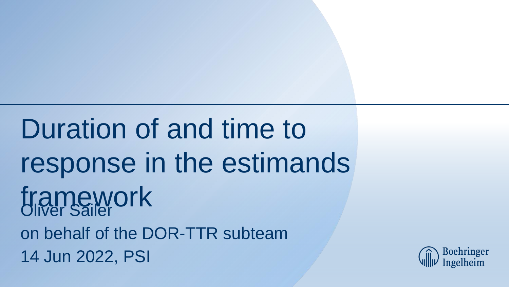Duration of and time to response in the estimands framework on behalf of the DOR-TTR subteam 14 Jun 2022, PSI

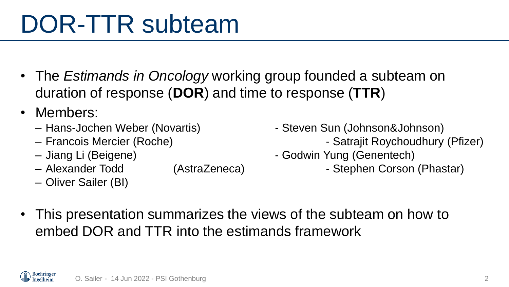# DOR-TTR subteam

- The *Estimands in Oncology* working group founded a subteam on duration of response (**DOR**) and time to response (**TTR**)
- Members:
	-
	-
	-
	- Alexander Todd (AstraZeneca) Stephen Corson (Phastar)
	- Oliver Sailer (BI)
- Hans-Jochen Weber (Novartis) Steven Sun (Johnson&Johnson)
- Francois Mercier (Roche) Satrajit Roychoudhury (Pfizer)
- Jiang Li (Beigene)  $-$  Godwin Yung (Genentech)
	-

• This presentation summarizes the views of the subteam on how to embed DOR and TTR into the estimands framework

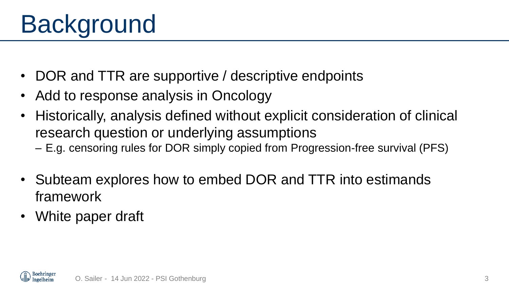# Background

- DOR and TTR are supportive / descriptive endpoints
- Add to response analysis in Oncology
- Historically, analysis defined without explicit consideration of clinical research question or underlying assumptions
	- E.g. censoring rules for DOR simply copied from Progression-free survival (PFS)
- Subteam explores how to embed DOR and TTR into estimands framework
- White paper draft

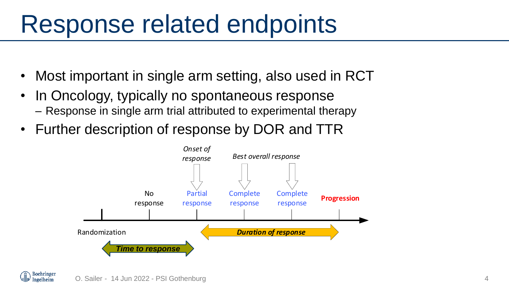## Response related endpoints

- Most important in single arm setting, also used in RCT
- In Oncology, typically no spontaneous response – Response in single arm trial attributed to experimental therapy
- Further description of response by DOR and TTR



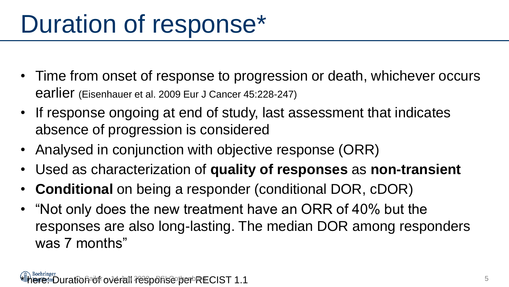# Duration of response\*

- Time from onset of response to progression or death, whichever occurs earlier (Eisenhauer et al. 2009 Eur J Cancer 45:228-247)
- If response ongoing at end of study, last assessment that indicates absence of progression is considered
- Analysed in conjunction with objective response (ORR)
- Used as characterization of **quality of responses** as **non-transient**
- **Conditional** on being a responder (conditional DOR, cDOR)
- "Not only does the new treatment have an ORR of 40% but the responses are also long-lasting. The median DOR among responders was 7 months"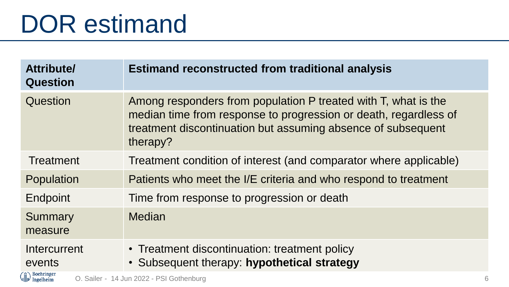## DOR estimand

| Attribute/<br><b>Question</b> | <b>Estimand reconstructed from traditional analysis</b>                                                                                                                                                        |   |
|-------------------------------|----------------------------------------------------------------------------------------------------------------------------------------------------------------------------------------------------------------|---|
| Question                      | Among responders from population P treated with T, what is the<br>median time from response to progression or death, regardless of<br>treatment discontinuation but assuming absence of subsequent<br>therapy? |   |
| Treatment                     | Treatment condition of interest (and comparator where applicable)                                                                                                                                              |   |
| Population                    | Patients who meet the I/E criteria and who respond to treatment                                                                                                                                                |   |
| Endpoint                      | Time from response to progression or death                                                                                                                                                                     |   |
| Summary<br>measure            | <b>Median</b>                                                                                                                                                                                                  |   |
| Intercurrent<br>events        | • Treatment discontinuation: treatment policy<br>• Subsequent therapy: hypothetical strategy                                                                                                                   |   |
| Boehringer<br>Ingelheim       | O. Sailer - 14 Jun 2022 - PSI Gothenburg                                                                                                                                                                       | 6 |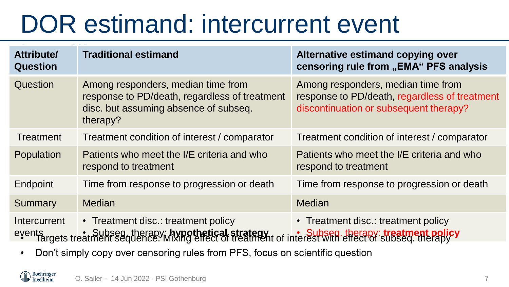# DOR estimand: intercurrent event

| Attribute/<br><b>Question</b> | <b>Traditional estimand</b>                                                                                                                         | Alternative estimand copying over<br>censoring rule from "EMA" PFS analysis                                                   |
|-------------------------------|-----------------------------------------------------------------------------------------------------------------------------------------------------|-------------------------------------------------------------------------------------------------------------------------------|
| Question                      | Among responders, median time from<br>response to PD/death, regardless of treatment<br>disc. but assuming absence of subseq.<br>therapy?            | Among responders, median time from<br>response to PD/death, regardless of treatment<br>discontinuation or subsequent therapy? |
| <b>Treatment</b>              | Treatment condition of interest / comparator                                                                                                        | Treatment condition of interest / comparator                                                                                  |
| Population                    | Patients who meet the I/E criteria and who<br>respond to treatment                                                                                  | Patients who meet the I/E criteria and who<br>respond to treatment                                                            |
| Endpoint                      | Time from response to progression or death                                                                                                          | Time from response to progression or death                                                                                    |
| Summary                       | <b>Median</b>                                                                                                                                       | <b>Median</b>                                                                                                                 |
| Intercurrent                  | • Treatment disc.: treatment policy<br>events reating the Subseq, therapy: hypothetical strategy to interest with effect of subseq. therapy therapy | • Treatment disc.: treatment policy                                                                                           |

• Don't simply copy over censoring rules from PFS, focus on scientific question

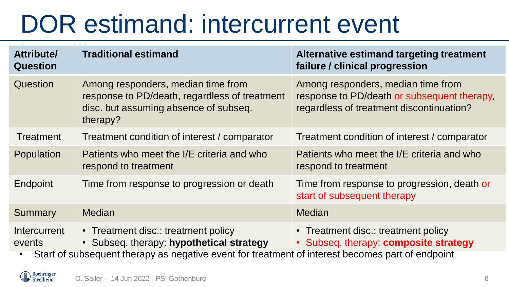# DOR estimand: intercurrent event

| Attribute/<br><b>Question</b> | <b>Traditional estimand</b>                                                                                                                                                         | Alternative estimand targeting treatment<br>failure / clinical progression                                                    |
|-------------------------------|-------------------------------------------------------------------------------------------------------------------------------------------------------------------------------------|-------------------------------------------------------------------------------------------------------------------------------|
| Question                      | Among responders, median time from<br>response to PD/death, regardless of treatment<br>disc. but assuming absence of subseq.<br>therapy?                                            | Among responders, median time from<br>response to PD/death or subsequent therapy,<br>regardless of treatment discontinuation? |
| <b>Treatment</b>              | Treatment condition of interest / comparator                                                                                                                                        | Treatment condition of interest / comparator                                                                                  |
| Population                    | Patients who meet the I/E criteria and who<br>respond to treatment                                                                                                                  | Patients who meet the I/E criteria and who<br>respond to treatment                                                            |
| Endpoint                      | Time from response to progression or death                                                                                                                                          | Time from response to progression, death or<br>start of subsequent therapy                                                    |
| Summary                       | <b>Median</b>                                                                                                                                                                       | <b>Median</b>                                                                                                                 |
| Intercurrent<br>events        | • Treatment disc.: treatment policy<br>• Subseq. therapy: hypothetical strategy<br>Start of oubcoguant tharany as pogotive quant for treatment of interest becomes part of opdpoint | • Treatment disc.: treatment policy<br>• Subseq. therapy: composite strategy                                                  |

• Start of subsequent therapy as negative event for treatment of interest becomes part of endpoint

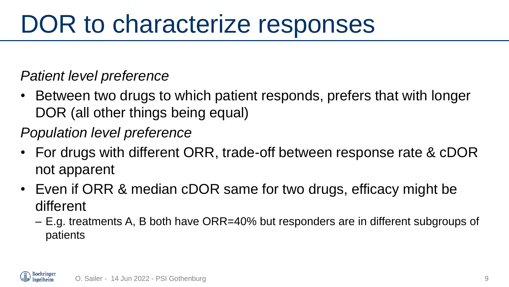## DOR to characterize responses

*Patient level preference*

• Between two drugs to which patient responds, prefers that with longer DOR (all other things being equal)

*Population level preference*

- For drugs with different ORR, trade-off between response rate & cDOR not apparent
- Even if ORR & median cDOR same for two drugs, efficacy might be different
	- E.g. treatments A, B both have ORR=40% but responders are in different subgroups of patients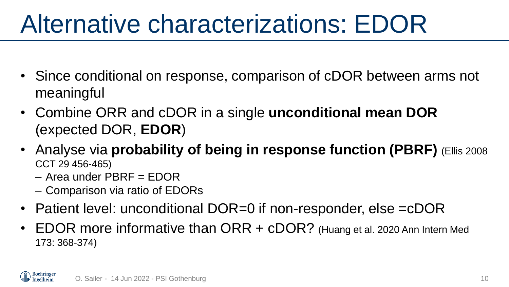## Alternative characterizations: EDOR

- Since conditional on response, comparison of cDOR between arms not meaningful
- Combine ORR and cDOR in a single **unconditional mean DOR** (expected DOR, **EDOR**)
- Analyse via **probability of being in response function (PBRF)** (Ellis 2008 CCT 29 456-465)
	- Area under PBRF = EDOR
	- Comparison via ratio of EDORs
- Patient level: unconditional DOR=0 if non-responder, else =cDOR
- EDOR more informative than ORR + cDOR? (Huang et al. 2020 Ann Intern Med 173: 368-374)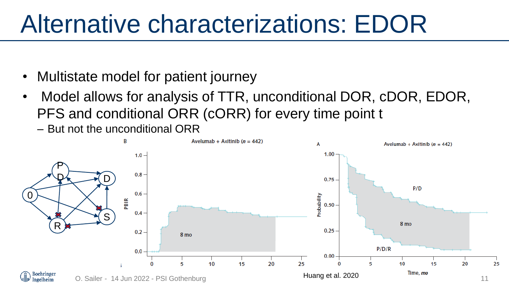## Alternative characterizations: EDOR

- Multistate model for patient journey
- Model allows for analysis of TTR, unconditional DOR, cDOR, EDOR, PFS and conditional ORR (cORR) for every time point t

– But not the unconditional ORR

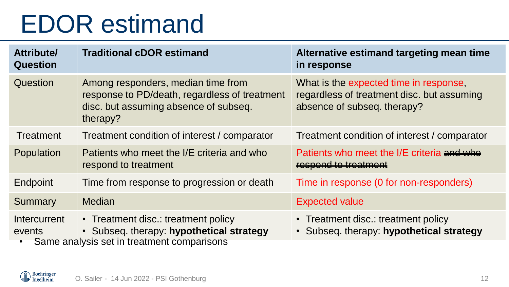## EDOR estimand

| Attribute/<br><b>Question</b> | <b>Traditional cDOR estimand</b>                                                                                                         | Alternative estimand targeting mean time<br>in response                                                             |
|-------------------------------|------------------------------------------------------------------------------------------------------------------------------------------|---------------------------------------------------------------------------------------------------------------------|
| Question                      | Among responders, median time from<br>response to PD/death, regardless of treatment<br>disc. but assuming absence of subseq.<br>therapy? | What is the expected time in response,<br>regardless of treatment disc. but assuming<br>absence of subseq. therapy? |
| Treatment                     | Treatment condition of interest / comparator                                                                                             | Treatment condition of interest / comparator                                                                        |
| Population                    | Patients who meet the I/E criteria and who<br>respond to treatment                                                                       | Patients who meet the I/E criteria and who<br>respond to treatment                                                  |
| Endpoint                      | Time from response to progression or death                                                                                               | Time in response (0 for non-responders)                                                                             |
| Summary                       | <b>Median</b>                                                                                                                            | <b>Expected value</b>                                                                                               |
| Intercurrent<br>events        | • Treatment disc.: treatment policy<br>· Subseq. therapy: hypothetical strategy<br>Same analysis set in treatment comparisons            | • Treatment disc.: treatment policy<br>· Subseq. therapy: hypothetical strategy                                     |

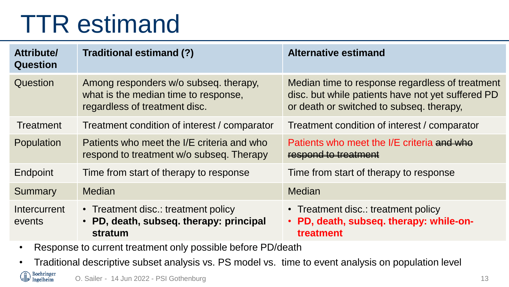## TTR estimand

| Attribute/<br><b>Question</b> | Traditional estimand (?)                                                                                       | <b>Alternative estimand</b>                                                                                                                      |
|-------------------------------|----------------------------------------------------------------------------------------------------------------|--------------------------------------------------------------------------------------------------------------------------------------------------|
| Question                      | Among responders w/o subseq. therapy,<br>what is the median time to response,<br>regardless of treatment disc. | Median time to response regardless of treatment<br>disc. but while patients have not yet suffered PD<br>or death or switched to subseq. therapy, |
| <b>Treatment</b>              | Treatment condition of interest / comparator                                                                   | Treatment condition of interest / comparator                                                                                                     |
| Population                    | Patients who meet the I/E criteria and who<br>respond to treatment w/o subseq. Therapy                         | Patients who meet the I/E criteria and who<br>respond to treatment                                                                               |
| Endpoint                      | Time from start of therapy to response                                                                         | Time from start of therapy to response                                                                                                           |
| Summary                       | <b>Median</b>                                                                                                  | <b>Median</b>                                                                                                                                    |
| Intercurrent<br>events        | • Treatment disc.: treatment policy<br>• PD, death, subseq. therapy: principal<br>stratum                      | • Treatment disc.: treatment policy<br>• PD, death, subseq. therapy: while-on-<br>treatment                                                      |

- Response to current treatment only possible before PD/death
- Traditional descriptive subset analysis vs. PS model vs. time to event analysis on population level

Boehringer<br>Ingelheim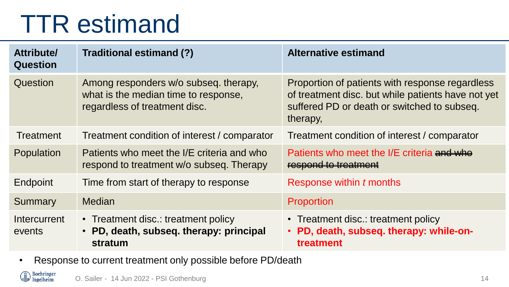## TTR estimand

| Attribute/<br><b>Question</b> | Traditional estimand (?)                                                                                       | <b>Alternative estimand</b>                                                                                                                                      |
|-------------------------------|----------------------------------------------------------------------------------------------------------------|------------------------------------------------------------------------------------------------------------------------------------------------------------------|
| Question                      | Among responders w/o subseq. therapy,<br>what is the median time to response,<br>regardless of treatment disc. | Proportion of patients with response regardless<br>of treatment disc. but while patients have not yet<br>suffered PD or death or switched to subseq.<br>therapy, |
| <b>Treatment</b>              | Treatment condition of interest / comparator                                                                   | Treatment condition of interest / comparator                                                                                                                     |
| Population                    | Patients who meet the I/E criteria and who<br>respond to treatment w/o subseq. Therapy                         | Patients who meet the I/E criteria and whe<br>respond to treatment                                                                                               |
| Endpoint                      | Time from start of therapy to response                                                                         | Response within t months                                                                                                                                         |
| Summary                       | <b>Median</b>                                                                                                  | Proportion                                                                                                                                                       |
| Intercurrent<br>events        | • Treatment disc.: treatment policy<br>• PD, death, subseq. therapy: principal<br>stratum                      | • Treatment disc.: treatment policy<br>PD, death, subseq. therapy: while-on-<br>$\bullet$<br>treatment                                                           |

• Response to current treatment only possible before PD/death

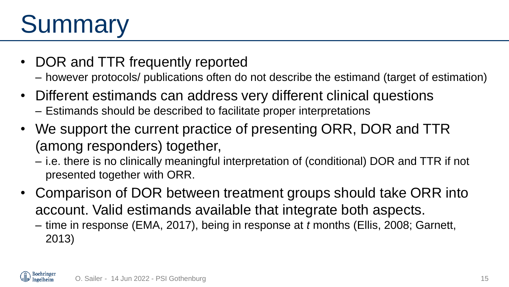# **Summary**

- DOR and TTR frequently reported
	- however protocols/ publications often do not describe the estimand (target of estimation)
- Different estimands can address very different clinical questions
	- Estimands should be described to facilitate proper interpretations
- We support the current practice of presenting ORR, DOR and TTR (among responders) together,
	- i.e. there is no clinically meaningful interpretation of (conditional) DOR and TTR if not presented together with ORR.
- Comparison of DOR between treatment groups should take ORR into account. Valid estimands available that integrate both aspects.
	- time in response (EMA, 2017), being in response at *t* months (Ellis, 2008; Garnett, 2013)